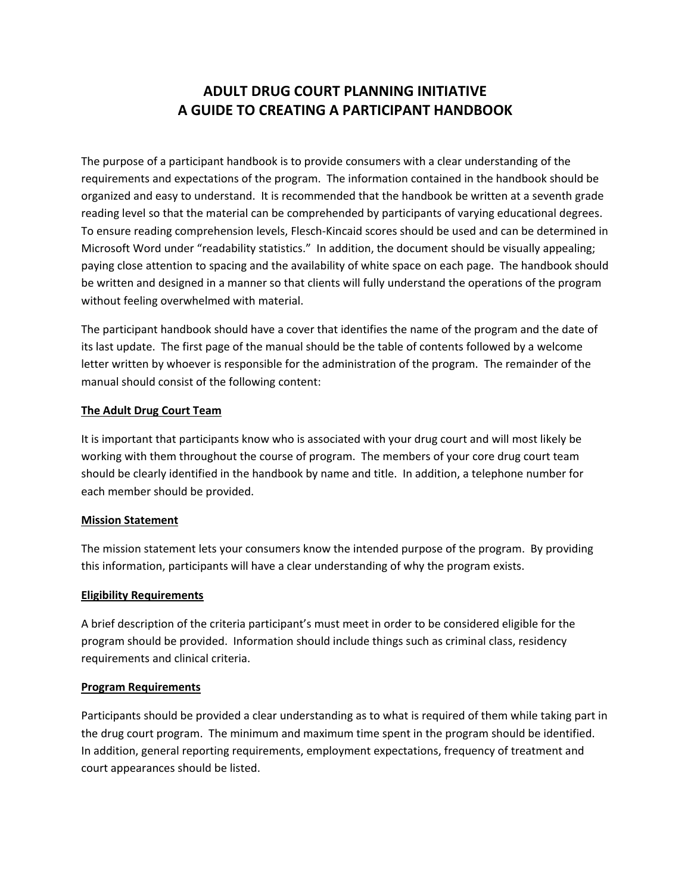# **ADULT DRUG COURT PLANNING INITIATIVE A GUIDE TO CREATING A PARTICIPANT HANDBOOK**

The purpose of a participant handbook is to provide consumers with a clear understanding of the requirements and expectations of the program. The information contained in the handbook should be organized and easy to understand. It is recommended that the handbook be written at a seventh grade reading level so that the material can be comprehended by participants of varying educational degrees. To ensure reading comprehension levels, Flesch-Kincaid scores should be used and can be determined in Microsoft Word under "readability statistics." In addition, the document should be visually appealing; paying close attention to spacing and the availability of white space on each page. The handbook should be written and designed in a manner so that clients will fully understand the operations of the program without feeling overwhelmed with material.

The participant handbook should have a cover that identifies the name of the program and the date of its last update. The first page of the manual should be the table of contents followed by a welcome letter written by whoever is responsible for the administration of the program. The remainder of the manual should consist of the following content:

#### **The Adult Drug Court Team**

It is important that participants know who is associated with your drug court and will most likely be working with them throughout the course of program. The members of your core drug court team should be clearly identified in the handbook by name and title. In addition, a telephone number for each member should be provided.

#### **Mission Statement**

The mission statement lets your consumers know the intended purpose of the program. By providing this information, participants will have a clear understanding of why the program exists.

#### **Eligibility Requirements**

A brief description of the criteria participant's must meet in order to be considered eligible for the program should be provided. Information should include things such as criminal class, residency requirements and clinical criteria.

#### **Program Requirements**

Participants should be provided a clear understanding as to what is required of them while taking part in the drug court program. The minimum and maximum time spent in the program should be identified. In addition, general reporting requirements, employment expectations, frequency of treatment and court appearances should be listed.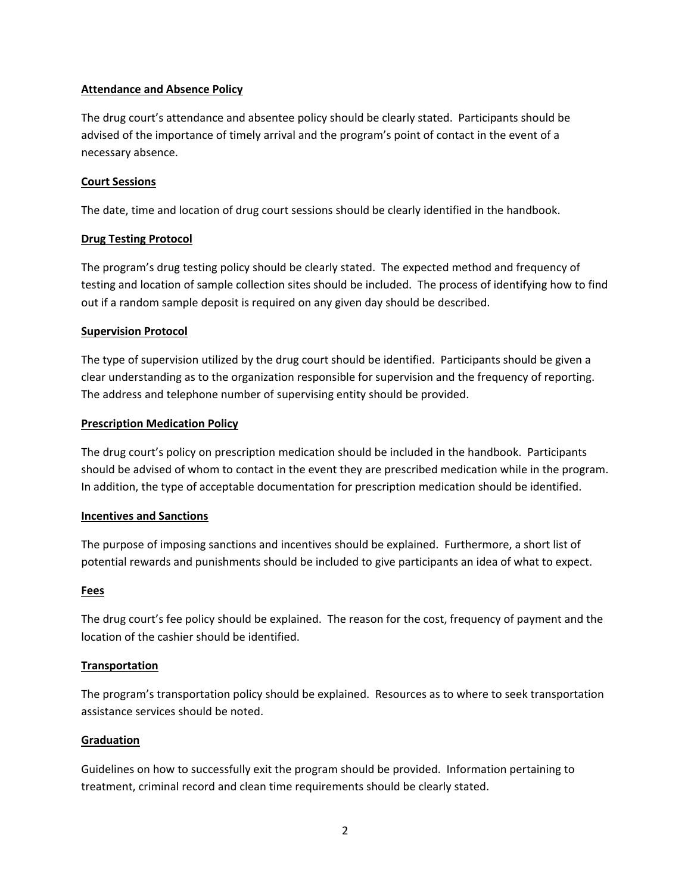### **Attendance and Absence Policy**

The drug court's attendance and absentee policy should be clearly stated. Participants should be advised of the importance of timely arrival and the program's point of contact in the event of a necessary absence.

## **Court Sessions**

The date, time and location of drug court sessions should be clearly identified in the handbook.

# **Drug Testing Protocol**

The program's drug testing policy should be clearly stated. The expected method and frequency of testing and location of sample collection sites should be included. The process of identifying how to find out if a random sample deposit is required on any given day should be described.

# **Supervision Protocol**

The type of supervision utilized by the drug court should be identified. Participants should be given a clear understanding as to the organization responsible for supervision and the frequency of reporting. The address and telephone number of supervising entity should be provided.

# **Prescription Medication Policy**

The drug court's policy on prescription medication should be included in the handbook. Participants should be advised of whom to contact in the event they are prescribed medication while in the program. In addition, the type of acceptable documentation for prescription medication should be identified.

# **Incentives and Sanctions**

The purpose of imposing sanctions and incentives should be explained. Furthermore, a short list of potential rewards and punishments should be included to give participants an idea of what to expect.

#### **Fees**

The drug court's fee policy should be explained. The reason for the cost, frequency of payment and the location of the cashier should be identified.

# **Transportation**

The program's transportation policy should be explained. Resources as to where to seek transportation assistance services should be noted.

#### **Graduation**

Guidelines on how to successfully exit the program should be provided. Information pertaining to treatment, criminal record and clean time requirements should be clearly stated.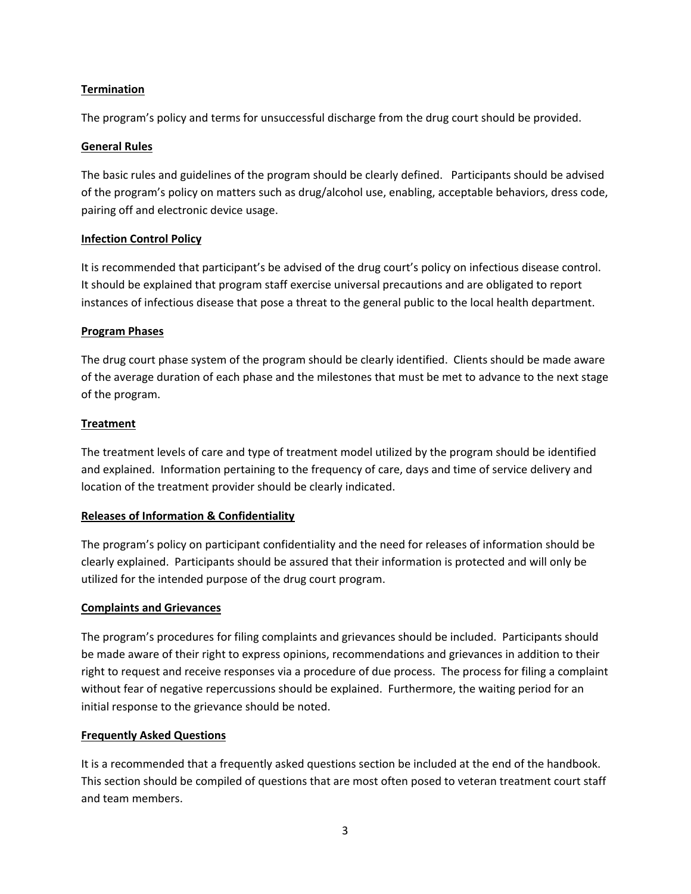# **Termination**

The program's policy and terms for unsuccessful discharge from the drug court should be provided.

#### **General Rules**

The basic rules and guidelines of the program should be clearly defined. Participants should be advised of the program's policy on matters such as drug/alcohol use, enabling, acceptable behaviors, dress code, pairing off and electronic device usage.

#### **Infection Control Policy**

It is recommended that participant's be advised of the drug court's policy on infectious disease control. It should be explained that program staff exercise universal precautions and are obligated to report instances of infectious disease that pose a threat to the general public to the local health department.

#### **Program Phases**

The drug court phase system of the program should be clearly identified. Clients should be made aware of the average duration of each phase and the milestones that must be met to advance to the next stage of the program.

#### **Treatment**

The treatment levels of care and type of treatment model utilized by the program should be identified and explained. Information pertaining to the frequency of care, days and time of service delivery and location of the treatment provider should be clearly indicated.

#### **Releases of Information & Confidentiality**

The program's policy on participant confidentiality and the need for releases of information should be clearly explained. Participants should be assured that their information is protected and will only be utilized for the intended purpose of the drug court program.

#### **Complaints and Grievances**

The program's procedures for filing complaints and grievances should be included. Participants should be made aware of their right to express opinions, recommendations and grievances in addition to their right to request and receive responses via a procedure of due process. The process for filing a complaint without fear of negative repercussions should be explained. Furthermore, the waiting period for an initial response to the grievance should be noted.

#### **Frequently Asked Questions**

It is a recommended that a frequently asked questions section be included at the end of the handbook. This section should be compiled of questions that are most often posed to veteran treatment court staff and team members.